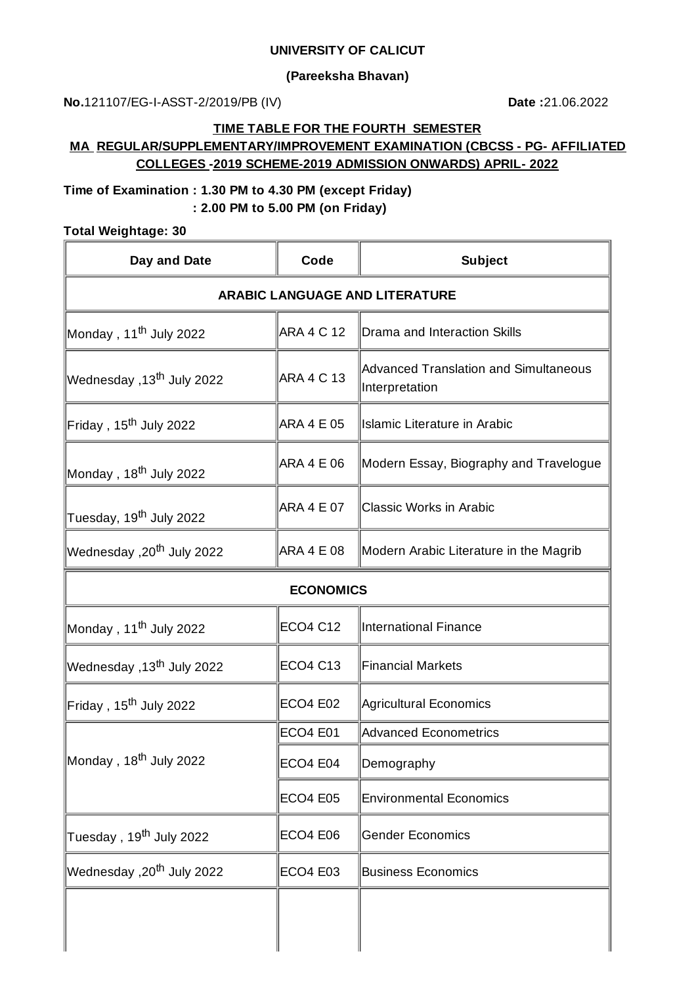#### **UNIVERSITY OF CALICUT**

### **(Pareeksha Bhavan)**

**No.**121107/EG-I-ASST-2/2019/PB (IV) **Date :**21.06.2022

#### **TIME TABLE FOR THE FOURTH SEMESTER**

### **MA REGULAR/SUPPLEMENTARY/IMPROVEMENT EXAMINATION (CBCSS - PG- AFFILIATED COLLEGES -2019 SCHEME-2019 ADMISSION ONWARDS) APRIL- 2022**

## **Time of Examination : 1.30 PM to 4.30 PM (except Friday) : 2.00 PM to 5.00 PM (on Friday)**

#### **Total Weightage: 30**

| Day and Date                            | Code              | <b>Subject</b>                                                 |  |
|-----------------------------------------|-------------------|----------------------------------------------------------------|--|
| <b>ARABIC LANGUAGE AND LITERATURE</b>   |                   |                                                                |  |
| Monday , 11 <sup>th</sup> July 2022     | <b>ARA 4 C 12</b> | Drama and Interaction Skills                                   |  |
| Wednesday ,13 <sup>th</sup> July 2022   | <b>ARA 4 C 13</b> | <b>Advanced Translation and Simultaneous</b><br>Interpretation |  |
| Friday , 15 <sup>th</sup> July 2022     | <b>ARA 4 E 05</b> | <b>Islamic Literature in Arabic</b>                            |  |
| Monday , 18 <sup>th</sup> July 2022     | <b>ARA 4 E 06</b> | Modern Essay, Biography and Travelogue                         |  |
| Tuesday, 19 <sup>th</sup> July 2022     | ARA 4 E 07        | <b>Classic Works in Arabic</b>                                 |  |
| Wednesday ,20 <sup>th</sup> July 2022   | <b>ARA 4 E 08</b> | Modern Arabic Literature in the Magrib                         |  |
| <b>ECONOMICS</b>                        |                   |                                                                |  |
| Monday , 11 <sup>th</sup> July 2022     | <b>ECO4 C12</b>   | International Finance                                          |  |
| 2022 VVednesday ,13 <sup>th</sup> July] | <b>ECO4 C13</b>   | <b>Financial Markets</b>                                       |  |
| Friday , 15 <sup>th</sup> July 2022     | <b>ECO4 E02</b>   | Agricultural Economics                                         |  |
|                                         | <b>ECO4 E01</b>   | Advanced Econometrics                                          |  |
| Monday , 18 <sup>th</sup> July 2022     | ECO4 E04          | Demography                                                     |  |
|                                         | <b>ECO4 E05</b>   | <b>Environmental Economics</b>                                 |  |
| Tuesday , 19 <sup>th</sup> July 2022    | <b>ECO4 E06</b>   | <b>Gender Economics</b>                                        |  |
| Wednesday ,20 <sup>th</sup> July 2022   | <b>ECO4 E03</b>   | <b>Business Economics</b>                                      |  |
|                                         |                   |                                                                |  |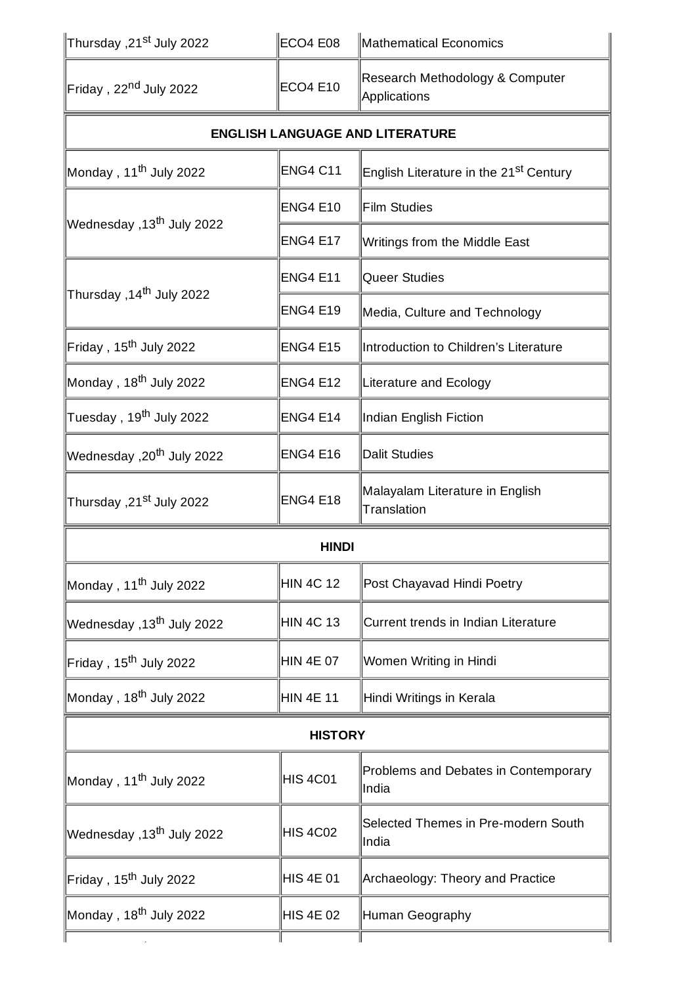| Thursday ,21 <sup>st</sup> July 2022∣  | <b>ECO4 E08</b>  | Mathematical Economics                             |  |
|----------------------------------------|------------------|----------------------------------------------------|--|
| Friday, 22 <sup>nd</sup> July 2022     | <b>ECO4 E10</b>  | Research Methodology & Computer<br>Applications    |  |
| <b>ENGLISH LANGUAGE AND LITERATURE</b> |                  |                                                    |  |
| Monday, 11 <sup>th</sup> July 2022     | <b>ENG4 C11</b>  | English Literature in the 21 <sup>st</sup> Century |  |
| Vednesday ,13 <sup>th</sup> July 2022  | <b>ENG4 E10</b>  | Film Studies                                       |  |
|                                        | <b>ENG4 E17</b>  | Writings from the Middle East                      |  |
| Thursday ,14 <sup>th</sup> July 2022   | <b>ENG4 E11</b>  | Queer Studies                                      |  |
|                                        | <b>ENG4 E19</b>  | Media, Culture and Technology                      |  |
| Friday, 15 <sup>th</sup> July 2022     | <b>ENG4 E15</b>  | Introduction to Children's Literature              |  |
| Monday , 18 <sup>th</sup> July 2022    | <b>ENG4 E12</b>  | Literature and Ecology                             |  |
| Tuesday , 19 <sup>th</sup> July 2022   | <b>ENG4 E14</b>  | Indian English Fiction                             |  |
| Vednesday ,20 <sup>th</sup> July 2022  | <b>ENG4 E16</b>  | <b>Dalit Studies</b>                               |  |
| Thursday ,21st July 2022               | <b>ENG4 E18</b>  | Malayalam Literature in English<br>Translation     |  |
| <b>HINDI</b>                           |                  |                                                    |  |
| Monday, 11 <sup>th</sup> July 2022     | <b>HIN 4C 12</b> | Post Chayavad Hindi Poetry                         |  |
| Wednesday ,13 <sup>th</sup> July 2022  | HIN 4C 13        | Current trends in Indian Literature                |  |
| Friday, 15 <sup>th</sup> July 2022     | HIN 4E 07        | Women Writing in Hindi                             |  |
| Monday , 18 <sup>th</sup> July 2022    | HIN 4E 11        | Hindi Writings in Kerala                           |  |
| <b>HISTORY</b>                         |                  |                                                    |  |
| Monday , 11 <sup>th</sup> July 2022    | <b>HIS 4C01</b>  | Problems and Debates in Contemporary<br>India      |  |
| Vednesday ,13 <sup>th</sup> July 2022  | <b>HIS 4C02</b>  | Selected Themes in Pre-modern South<br>India       |  |
| Friday, 15 <sup>th</sup> July 2022     | HIS 4E 01        | Archaeology: Theory and Practice                   |  |
| Monday , 18 <sup>th</sup> July 2022    | HIS 4E 02        | Human Geography                                    |  |
|                                        |                  |                                                    |  |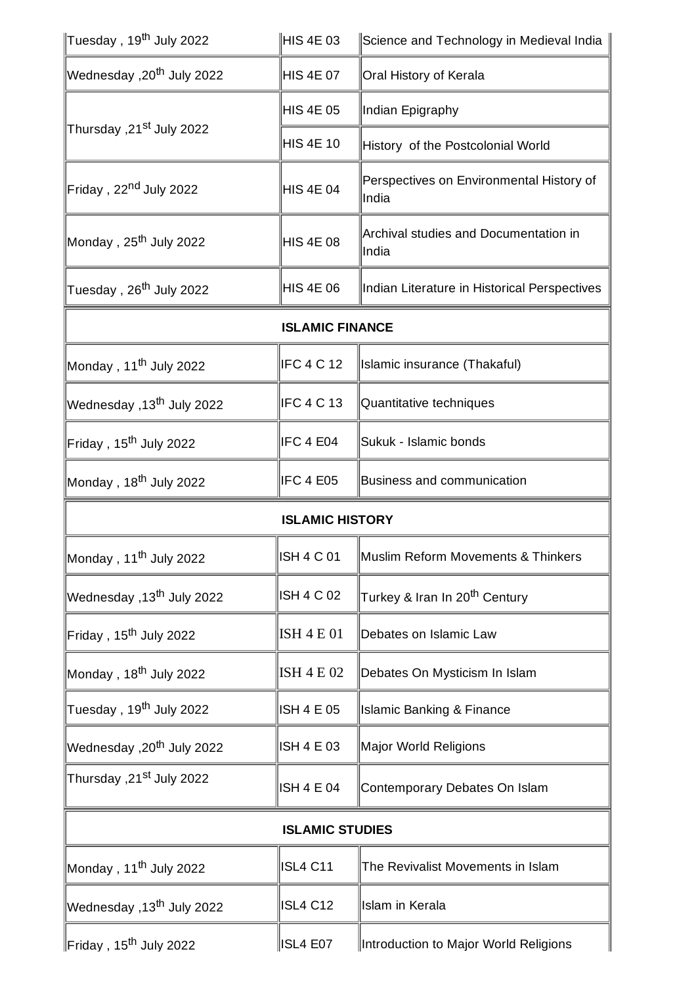| Tuesday , 19 <sup>th</sup> July 2022  | HIS 4E 03              | Science and Technology in Medieval India          |
|---------------------------------------|------------------------|---------------------------------------------------|
| Wednesday ,20 <sup>th</sup> July 2022 | <b>HIS 4E 07</b>       | Oral History of Kerala                            |
| 2022 Thursday ,21st July              | <b>HIS 4E 05</b>       | Indian Epigraphy                                  |
|                                       | <b>HIS 4E 10</b>       | History of the Postcolonial World                 |
| Friday , 22 <sup>nd</sup> July 2022   | <b>HIS 4E 04</b>       | Perspectives on Environmental History of<br>India |
| Monday , 25 <sup>th</sup> July 2022   | <b>HIS 4E 08</b>       | Archival studies and Documentation in<br>India    |
| Tuesday , 26 <sup>th</sup> July 2022  | <b>HIS 4E 06</b>       | Indian Literature in Historical Perspectives      |
| <b>ISLAMIC FINANCE</b>                |                        |                                                   |
| Monday , 11 <sup>th</sup> July 2022   | IFC 4 C 12             | Islamic insurance (Thakaful)                      |
| Vednesday ,13 <sup>th</sup> July 2022 | IFC 4 C 13             | Quantitative techniques                           |
| Friday , 15 <sup>th</sup> July 2022   | IFC 4 E04              | Sukuk - Islamic bonds                             |
| Monday , 18 <sup>th</sup> July 2022   | IFC 4 E05              | <b>Business and communication</b>                 |
| <b>ISLAMIC HISTORY</b>                |                        |                                                   |
|                                       |                        |                                                   |
| Monday , 11 <sup>th</sup> July 2022   | ISH 4 C 01             | Muslim Reform Movements & Thinkers                |
| Vednesday ,13 <sup>th</sup> July 2022 | ISH 4 C 02             | Turkey & Iran In 20 <sup>th</sup> Century         |
| Friday , 15 <sup>th</sup> July 2022   | ISH 4 E 01             | Debates on Islamic Law                            |
| Monday , 18 <sup>th</sup> July 2022   | <b>ISH 4 E 02</b>      | Debates On Mysticism In Islam                     |
| Tuesday , 19 <sup>th</sup> July 2022  | ISH 4 E 05             | <b>Islamic Banking &amp; Finance</b>              |
| 2022 Wednesday ,20 <sup>th</sup> July | ISH 4 E 03             | Major World Religions                             |
| 2022 Thursday ,21st July              | ISH 4 E 04             | Contemporary Debates On Islam                     |
|                                       | <b>ISLAMIC STUDIES</b> |                                                   |
| Monday , 11 <sup>th</sup> July 2022   | <b>ISL4 C11</b>        | The Revivalist Movements in Islam                 |
| Wednesday ,13 <sup>th</sup> July 2022 | <b>ISL4 C12</b>        | Islam in Kerala                                   |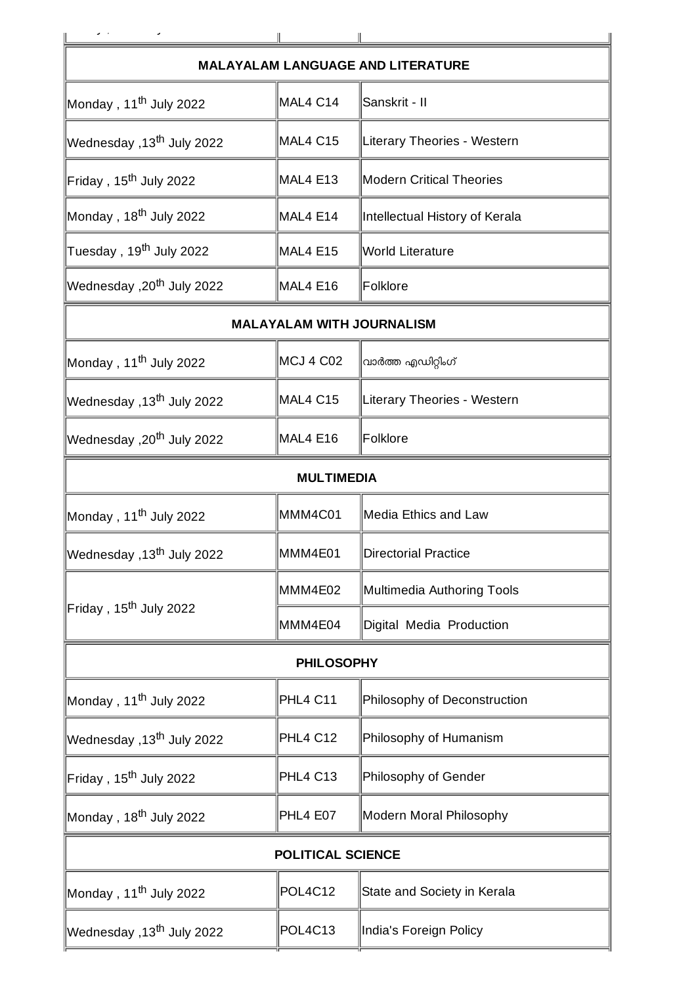|                                       |                | <b>MALAYALAM LANGUAGE AND LITERATURE</b> |  |
|---------------------------------------|----------------|------------------------------------------|--|
| Monday, 11 <sup>th</sup> July 2022    | MAL4 C14       | Sanskrit - II                            |  |
| Wednesday ,13 <sup>th</sup> July 2022 | MAL4 C15       | Literary Theories - Western              |  |
| Friday, 15 <sup>th</sup> July 2022    | MAL4 E13       | <b>Modern Critical Theories</b>          |  |
| Monday, 18 <sup>th</sup> July 2022    | MAL4 E14       | Intellectual History of Kerala           |  |
| Tuesday , 19 <sup>th</sup> July 2022  | MAL4 E15       | World Literature                         |  |
| 2022 Wednesday ,20 <sup>th</sup> July | MAL4 E16       | Folklore                                 |  |
| <b>MALAYALAM WITH JOURNALISM</b>      |                |                                          |  |
| Monday, 11 <sup>th</sup> July 2022    | MCJ 4 C02      | വാർത്ത എഡിറ്റിംഗ്                        |  |
| Wednesday ,13 <sup>th</sup> July 2022 | MAL4 C15       | Literary Theories - Western              |  |
| 2022 Wednesday ,20 <sup>th</sup> July | MAL4 E16       | Folklore                                 |  |
| <b>MULTIMEDIA</b>                     |                |                                          |  |
| Monday, 11 <sup>th</sup> July 2022    | MMM4C01        | <b>Media Ethics and Law</b>              |  |
| Vednesday ,13 <sup>th</sup> July 2022 | MMM4E01        | <b>Directorial Practice</b>              |  |
| Friday, 15 <sup>th</sup> July 2022    | MMM4E02        | Multimedia Authoring Tools               |  |
|                                       | MMM4E04        | Digital Media Production                 |  |
| <b>PHILOSOPHY</b>                     |                |                                          |  |
| Monday, 11 <sup>th</sup> July 2022    | PHL4 C11       | Philosophy of Deconstruction             |  |
| Wednesday ,13 <sup>th</sup> July 2022 | PHL4 C12       | Philosophy of Humanism                   |  |
| Friday, 15 <sup>th</sup> July 2022    | PHL4 C13       | Philosophy of Gender                     |  |
| Monday, 18 <sup>th</sup> July 2022    | PHL4 E07       | Modern Moral Philosophy                  |  |
| <b>POLITICAL SCIENCE</b>              |                |                                          |  |
| Monday, 11 <sup>th</sup> July 2022    | <b>POL4C12</b> | State and Society in Kerala              |  |
| Wednesday ,13 <sup>th</sup> July 2022 | POL4C13        | India's Foreign Policy                   |  |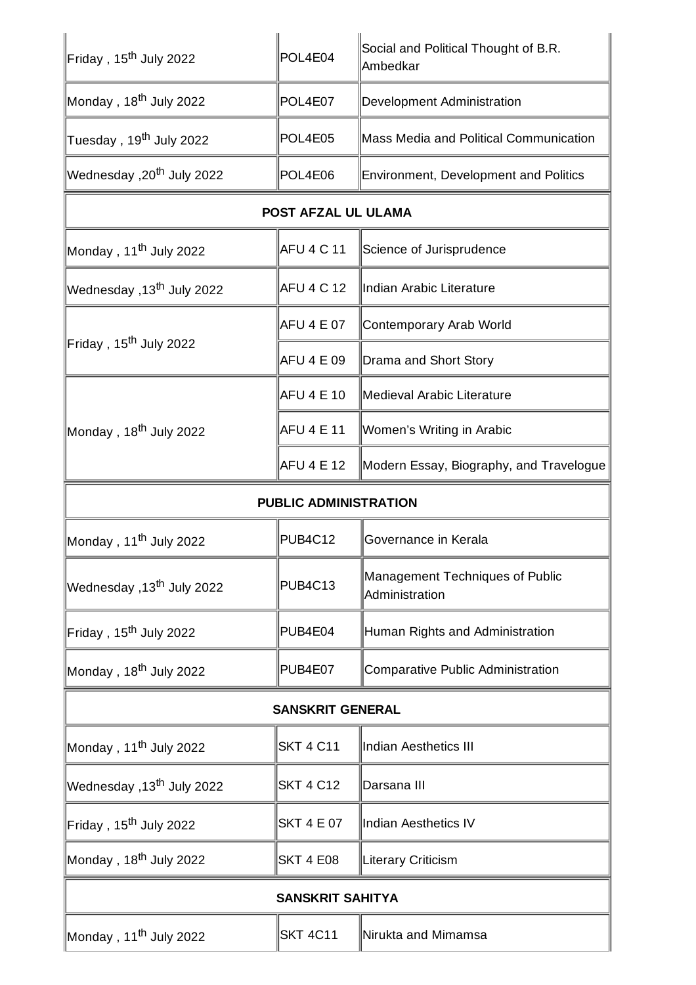| Friday, 15 <sup>th</sup> July 2022     | POL4E04                 | Social and Political Thought of B.R.<br>Ambedkar  |  |
|----------------------------------------|-------------------------|---------------------------------------------------|--|
| Monday , 18 <sup>th</sup> July 2022    | POL4E07                 | Development Administration                        |  |
| Tuesday , 19 <sup>th</sup> July 2022   | POL4E05                 | Mass Media and Political Communication            |  |
| Vednesday ,20 <sup>th</sup> July 2022  | POL4E06                 | Environment, Development and Politics             |  |
| POST AFZAL UL ULAMA                    |                         |                                                   |  |
| Monday , 11 <sup>th</sup> July 2022    | <b>AFU 4 C 11</b>       | Science of Jurisprudence                          |  |
| Ⅳednesday ,13 <sup>th</sup> July 2022∣ | AFU 4 C 12              | Indian Arabic Literature                          |  |
|                                        | <b>AFU 4 E 07</b>       | Contemporary Arab World                           |  |
| Friday , 15 <sup>th</sup> July 2022    | <b>AFU 4 E 09</b>       | Drama and Short Story                             |  |
|                                        | AFU 4 E 10              | Medieval Arabic Literature                        |  |
| Monday , 18 <sup>th</sup> July 2022    | AFU 4 E 11              | Women's Writing in Arabic                         |  |
|                                        | AFU 4 E 12              | Modern Essay, Biography, and Travelogue           |  |
| <b>PUBLIC ADMINISTRATION</b>           |                         |                                                   |  |
| Monday , 11 <sup>th</sup> July 2022    | <b>PUB4C12</b>          | Governance in Kerala                              |  |
|                                        |                         |                                                   |  |
| Vednesday ,13 <sup>th</sup> July 2022  | <b>PUB4C13</b>          | Management Techniques of Public<br>Administration |  |
| Friday, 15 <sup>th</sup> July 2022     | PUB4E04                 | Human Rights and Administration                   |  |
| Monday , 18 <sup>th</sup> July 2022    | PUB4E07                 | Comparative Public Administration                 |  |
|                                        | <b>SANSKRIT GENERAL</b> |                                                   |  |
| Monday , 11 <sup>th</sup> July 2022    | <b>SKT 4 C11</b>        | <b>Indian Aesthetics III</b>                      |  |
| Vednesday ,13 <sup>th</sup> July 2022  | <b>SKT 4 C12</b>        | Darsana III                                       |  |
| Friday, 15 <sup>th</sup> July 2022     | <b>SKT 4 E 07</b>       | <b>Indian Aesthetics IV</b>                       |  |
| Monday , 18 <sup>th</sup> July 2022    | <b>SKT 4 E08</b>        | <b>Literary Criticism</b>                         |  |
|                                        | <b>SANSKRIT SAHITYA</b> |                                                   |  |